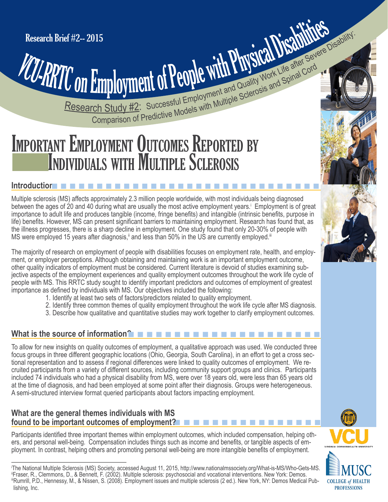# **Employment of People WITH AND Work Life and Cord**<br>Comparison of Predictive Models with Multiple Sclerosis and Spinal Cord Research Study #2: Successful Employment and Quality Work Life after Severe Disability:

# Research Study #2: Successful Employment and Quality Work Life after Search Study #2: Successful Employment and Quality Work Life and Spinal Cordination of Predictive Models with Multiple Sclerosis and Spinal Cordination o **INDIVIDUALS WITH MULTIPLE SCLEROSIS**

#### **Introduction**n n n n n n n n n n n n n n n n n n n n n n n n n n n n n n

i

Multiple sclerosis (MS) affects approximately 2.3 million people worldwide, with most individuals being diagnosed between the ages of 20 and 40 during what are usually the most active employment years. Employment is of great importance to adult life and produces tangible (income, fringe benefits) and intangible (intrinsic benefits, purpose in life) benefits. However, MS can present significant barriers to maintaining employment. Research has found that, as the illness progresses, there is a sharp decline in employment. One study found that only 20-30% of people with MS were employed 15 years after diagnosis,<sup>ii</sup> and less than 50% in the US are currently employed.<sup>iii</sup>

The majority of research on employment of people with disabilities focuses on employment rate, health, and employment, or employer perceptions. Although obtaining and maintaining work is an important employment outcome, other quality indicators of employment must be considered. Current literature is devoid of studies examining subjective aspects of the employment experiences and quality employment outcomes throughout the work life cycle of people with MS. This RRTC study sought to identify important predictors and outcomes of employment of greatest importance as defined by individuals with MS. Our objectives included the following:

- 1. Identify at least two sets of factors/predictors related to quality employment.
- 2. Identify three common themes of quality employment throughout the work life cycle after MS diagnosis.
- 3. Describe how qualitative and quantitative studies may work together to clarify employment outcomes.

# **What is the source of information?**n n n n n n n n n n n n n n n n n n n n n

To allow for new insights on quality outcomes of employment, a qualitative approach was used. We conducted three focus groups in three different geographic locations (Ohio, Georgia, South Carolina), in an effort to get a cross sectional representation and to assess if regional differences were linked to quality outcomes of employment. We recruited participants from a variety of different sources, including community support groups and clinics. Participants included 74 individuals who had a physical disability from MS, were over 18 years old, were less than 65 years old at the time of diagnosis, and had been employed at some point after their diagnosis. Groups were heterogeneous. A semi-structured interview format queried participants about factors impacting employment.

#### **What are the general themes individuals with MS found to be important outcomes of employment?**

Participants identified three important themes within employment outcomes, which included compensation, helping others, and personal well-being. Compensation includes things such as income and benefits, or tangible aspects of employment. In contrast, helping others and promoting personal well-being are more intangible benefits of employment.







The National Multiple Sclerosis (MS) Society, accessed August 11, 2015, <http://www.nationalmssociety.org/What-is-MS/Who-Gets-MS>.<br>"Fraser, R., Clemmons, D., & Bennett, F. (2002). Multiple sclerosis: psychosocial and vocatio iiiRumrill, P.D., Hennessy, M., & Nissen, S. (2008). Employment issues and multiple sclerosis (2 ed.). New York, NY: Demos Medical Publishing, Inc.